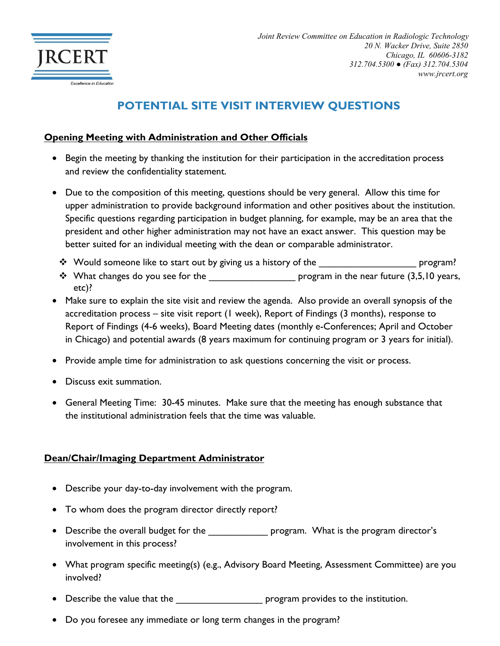

# **POTENTIAL SITE VISIT INTERVIEW QUESTIONS**

#### **Opening Meeting with Administration and Other Officials**

- Begin the meeting by thanking the institution for their participation in the accreditation process and review the confidentiality statement.
- Due to the composition of this meeting, questions should be very general. Allow this time for upper administration to provide background information and other positives about the institution. Specific questions regarding participation in budget planning, for example, may be an area that the president and other higher administration may not have an exact answer. This question may be better suited for an individual meeting with the dean or comparable administrator.
	- \* Would someone like to start out by giving us a history of the \_\_\_\_\_\_\_\_\_\_\_\_\_\_\_\_\_\_\_\_\_\_\_\_\_\_\_\_ program?
	- $\cdot \cdot$  What changes do you see for the  $\rightharpoonup$  program in the near future (3,5,10 years, etc)?
- Make sure to explain the site visit and review the agenda. Also provide an overall synopsis of the accreditation process – site visit report (1 week), Report of Findings (3 months), response to Report of Findings (4-6 weeks), Board Meeting dates (monthly e-Conferences; April and October in Chicago) and potential awards (8 years maximum for continuing program or 3 years for initial).
- Provide ample time for administration to ask questions concerning the visit or process.
- Discuss exit summation.
- General Meeting Time: 30-45 minutes. Make sure that the meeting has enough substance that the institutional administration feels that the time was valuable.

# **Dean/Chair/Imaging Department Administrator**

- Describe your day-to-day involvement with the program.
- To whom does the program director directly report?
- Describe the overall budget for the \_\_\_\_\_\_\_\_\_\_\_\_\_\_ program. What is the program director's involvement in this process?
- What program specific meeting(s) (e.g., Advisory Board Meeting, Assessment Committee) are you involved?
- Describe the value that the  $\qquad \qquad$  program provides to the institution.
- Do you foresee any immediate or long term changes in the program?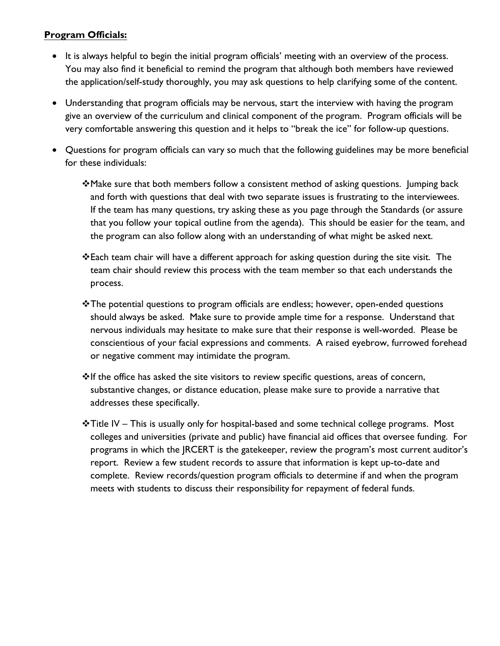# **Program Officials:**

- It is always helpful to begin the initial program officials' meeting with an overview of the process. You may also find it beneficial to remind the program that although both members have reviewed the application/self-study thoroughly, you may ask questions to help clarifying some of the content.
- Understanding that program officials may be nervous, start the interview with having the program give an overview of the curriculum and clinical component of the program. Program officials will be very comfortable answering this question and it helps to "break the ice" for follow-up questions.
- Questions for program officials can vary so much that the following guidelines may be more beneficial for these individuals:
	- \*Make sure that both members follow a consistent method of asking questions. Jumping back and forth with questions that deal with two separate issues is frustrating to the interviewees. If the team has many questions, try asking these as you page through the Standards (or assure that you follow your topical outline from the agenda). This should be easier for the team, and the program can also follow along with an understanding of what might be asked next.
	- Each team chair will have a different approach for asking question during the site visit. The team chair should review this process with the team member so that each understands the process.
	- $\cdot$ The potential questions to program officials are endless; however, open-ended questions should always be asked. Make sure to provide ample time for a response. Understand that nervous individuals may hesitate to make sure that their response is well-worded. Please be conscientious of your facial expressions and comments. A raised eyebrow, furrowed forehead or negative comment may intimidate the program.
	- $*$ If the office has asked the site visitors to review specific questions, areas of concern, substantive changes, or distance education, please make sure to provide a narrative that addresses these specifically.
	- $\cdot$ Title IV This is usually only for hospital-based and some technical college programs. Most colleges and universities (private and public) have financial aid offices that oversee funding. For programs in which the JRCERT is the gatekeeper, review the program's most current auditor's report. Review a few student records to assure that information is kept up-to-date and complete. Review records/question program officials to determine if and when the program meets with students to discuss their responsibility for repayment of federal funds.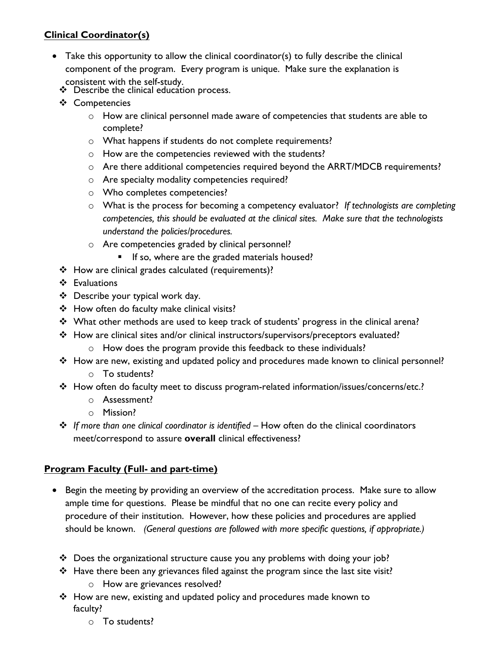# **Clinical Coordinator(s)**

- Take this opportunity to allow the clinical coordinator(s) to fully describe the clinical component of the program. Every program is unique. Make sure the explanation is consistent with the self-study.
	- Describe the clinical education process.
	- ❖ Competencies
		- o How are clinical personnel made aware of competencies that students are able to complete?
		- o What happens if students do not complete requirements?
		- o How are the competencies reviewed with the students?
		- $\circ$  Are there additional competencies required beyond the ARRT/MDCB requirements?
		- o Are specialty modality competencies required?
		- o Who completes competencies?
		- o What is the process for becoming a competency evaluator? *If technologists are completing competencies, this should be evaluated at the clinical sites. Make sure that the technologists understand the policies/procedures.*
		- o Are competencies graded by clinical personnel?
			- If so, where are the graded materials housed?
	- How are clinical grades calculated (requirements)?
	- Evaluations
	- Describe your typical work day.
	- How often do faculty make clinical visits?
	- \* What other methods are used to keep track of students' progress in the clinical arena?
	- How are clinical sites and/or clinical instructors/supervisors/preceptors evaluated? o How does the program provide this feedback to these individuals?
	- \* How are new, existing and updated policy and procedures made known to clinical personnel? o To students?
	- How often do faculty meet to discuss program-related information/issues/concerns/etc.?
		- o Assessment?
		- o Mission?
	- *If more than one clinical coordinator is identified* How often do the clinical coordinators meet/correspond to assure **overall** clinical effectiveness?

# **Program Faculty (Full- and part-time)**

- Begin the meeting by providing an overview of the accreditation process. Make sure to allow ample time for questions. Please be mindful that no one can recite every policy and procedure of their institution. However, how these policies and procedures are applied should be known. *(General questions are followed with more specific questions, if appropriate.)*
	- Does the organizational structure cause you any problems with doing your job?
	- $\cdot \cdot$  Have there been any grievances filed against the program since the last site visit?
		- o How are grievances resolved?
	- How are new, existing and updated policy and procedures made known to faculty?
		- o To students?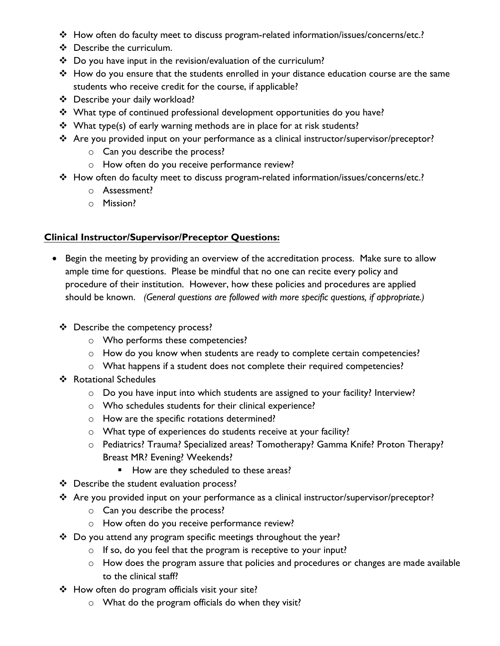- \* How often do faculty meet to discuss program-related information/issues/concerns/etc.?
- Describe the curriculum.
- Do you have input in the revision/evaluation of the curriculum?
- \* How do you ensure that the students enrolled in your distance education course are the same students who receive credit for the course, if applicable?
- Describe your daily workload?
- \* What type of continued professional development opportunities do you have?
- $\cdot$  What type(s) of early warning methods are in place for at risk students?
- \* Are you provided input on your performance as a clinical instructor/supervisor/preceptor?
	- o Can you describe the process?
	- o How often do you receive performance review?
- \* How often do faculty meet to discuss program-related information/issues/concerns/etc.?
	- o Assessment?
	- o Mission?

#### **Clinical Instructor/Supervisor/Preceptor Questions:**

- Begin the meeting by providing an overview of the accreditation process. Make sure to allow ample time for questions. Please be mindful that no one can recite every policy and procedure of their institution. However, how these policies and procedures are applied should be known. *(General questions are followed with more specific questions, if appropriate.)*
	- Describe the competency process?
		- o Who performs these competencies?
		- o How do you know when students are ready to complete certain competencies?
		- o What happens if a student does not complete their required competencies?
	- ❖ Rotational Schedules
		- o Do you have input into which students are assigned to your facility? Interview?
		- o Who schedules students for their clinical experience?
		- o How are the specific rotations determined?
		- o What type of experiences do students receive at your facility?
		- o Pediatrics? Trauma? Specialized areas? Tomotherapy? Gamma Knife? Proton Therapy? Breast MR? Evening? Weekends?
			- How are they scheduled to these areas?
	- Describe the student evaluation process?
	- Are you provided input on your performance as a clinical instructor/supervisor/preceptor?
		- o Can you describe the process?
		- o How often do you receive performance review?
	- \* Do you attend any program specific meetings throughout the year?
		- $\circ$  If so, do you feel that the program is receptive to your input?
		- o How does the program assure that policies and procedures or changes are made available to the clinical staff?
	- How often do program officials visit your site?
		- o What do the program officials do when they visit?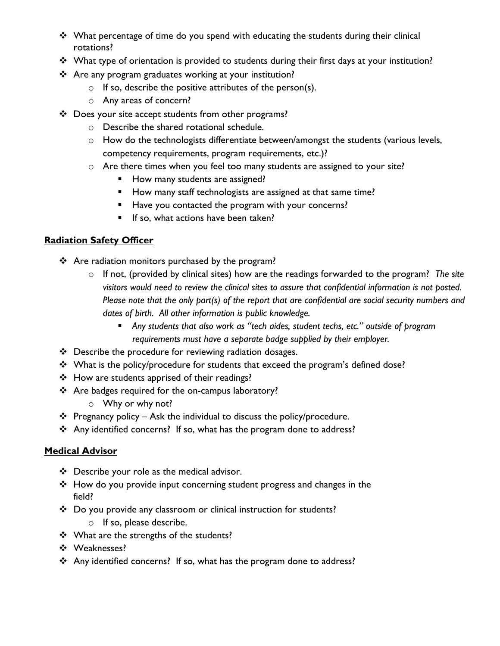- \* What percentage of time do you spend with educating the students during their clinical rotations?
- \* What type of orientation is provided to students during their first days at your institution?
- Are any program graduates working at your institution?
	- $\circ$  If so, describe the positive attributes of the person(s).
	- o Any areas of concern?
- \* Does your site accept students from other programs?
	- o Describe the shared rotational schedule.
	- o How do the technologists differentiate between/amongst the students (various levels, competency requirements, program requirements, etc.)?
	- o Are there times when you feel too many students are assigned to your site?
		- How many students are assigned?
		- How many staff technologists are assigned at that same time?
		- Have you contacted the program with your concerns?
		- If so, what actions have been taken?

# **Radiation Safety Officer**

- \* Are radiation monitors purchased by the program?
	- o If not, (provided by clinical sites) how are the readings forwarded to the program? *The site visitors would need to review the clinical sites to assure that confidential information is not posted. Please note that the only part(s) of the report that are confidential are social security numbers and dates of birth. All other information is public knowledge.*
		- *Any students that also work as "tech aides, student techs, etc." outside of program requirements must have a separate badge supplied by their employer.*
- Describe the procedure for reviewing radiation dosages.
- \* What is the policy/procedure for students that exceed the program's defined dose?
- How are students apprised of their readings?
- \* Are badges required for the on-campus laboratory?
	- o Why or why not?
- $\cdot \cdot$  Pregnancy policy Ask the individual to discuss the policy/procedure.
- Any identified concerns? If so, what has the program done to address?

# **Medical Advisor**

- ❖ Describe your role as the medical advisor.
- How do you provide input concerning student progress and changes in the field?
- \* Do you provide any classroom or clinical instruction for students? o If so, please describe.
- ❖ What are the strengths of the students?
- ◆ Weaknesses?
- Any identified concerns? If so, what has the program done to address?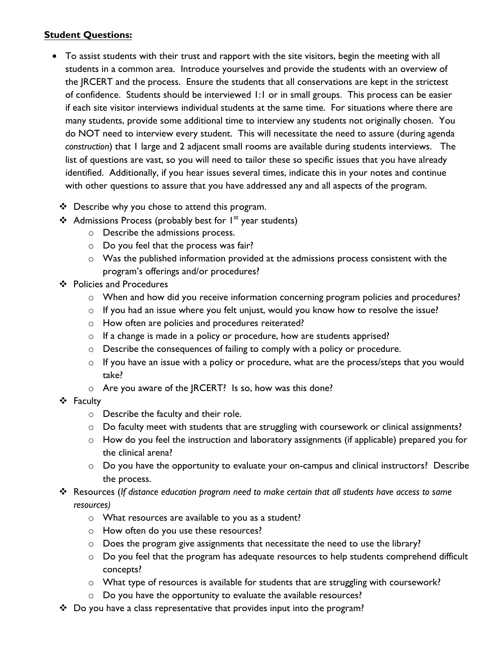# **Student Questions:**

- To assist students with their trust and rapport with the site visitors, begin the meeting with all students in a common area. Introduce yourselves and provide the students with an overview of the JRCERT and the process. Ensure the students that all conservations are kept in the strictest of confidence. Students should be interviewed 1:1 or in small groups. This process can be easier if each site visitor interviews individual students at the same time. For situations where there are many students, provide some additional time to interview any students not originally chosen. You do NOT need to interview every student. This will necessitate the need to assure (during agenda *construction*) that 1 large and 2 adjacent small rooms are available during students interviews. The list of questions are vast, so you will need to tailor these so specific issues that you have already identified. Additionally, if you hear issues several times, indicate this in your notes and continue with other questions to assure that you have addressed any and all aspects of the program.
	- $\div$  Describe why you chose to attend this program.
	- Admissions Process (probably best for  $I^{st}$  year students)
		- o Describe the admissions process.
		- o Do you feel that the process was fair?
		- o Was the published information provided at the admissions process consistent with the program's offerings and/or procedures?
	- ❖ Policies and Procedures
		- o When and how did you receive information concerning program policies and procedures?
		- o If you had an issue where you felt unjust, would you know how to resolve the issue?
		- o How often are policies and procedures reiterated?
		- o If a change is made in a policy or procedure, how are students apprised?
		- o Describe the consequences of failing to comply with a policy or procedure.
		- o If you have an issue with a policy or procedure, what are the process/steps that you would take?
		- o Are you aware of the JRCERT? Is so, how was this done?
	- ❖ Faculty
		- o Describe the faculty and their role.
		- $\circ$  Do faculty meet with students that are struggling with coursework or clinical assignments?
		- o How do you feel the instruction and laboratory assignments (if applicable) prepared you for the clinical arena?
		- o Do you have the opportunity to evaluate your on-campus and clinical instructors? Describe the process.
	- Resources (*If distance education program need to make certain that all students have access to same resources)*
		- o What resources are available to you as a student?
		- o How often do you use these resources?
		- o Does the program give assignments that necessitate the need to use the library?
		- o Do you feel that the program has adequate resources to help students comprehend difficult concepts?
		- o What type of resources is available for students that are struggling with coursework?
		- o Do you have the opportunity to evaluate the available resources?
	- \* Do you have a class representative that provides input into the program?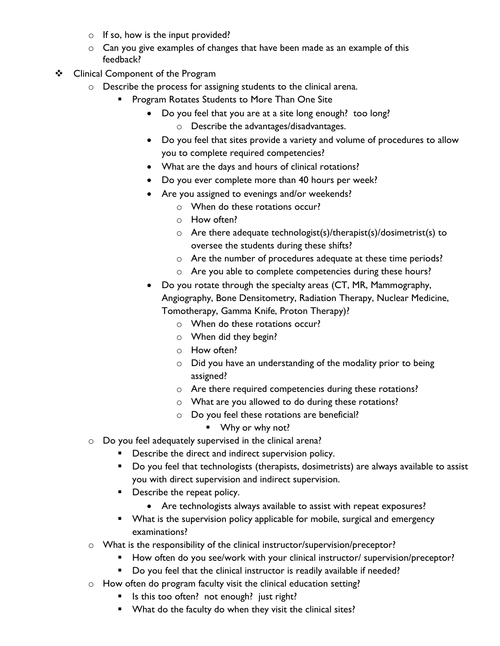- $\circ$  If so, how is the input provided?
- o Can you give examples of changes that have been made as an example of this feedback?
- ❖ Clinical Component of the Program
	- o Describe the process for assigning students to the clinical arena.
		- **Program Rotates Students to More Than One Site** 
			- Do you feel that you are at a site long enough? too long?
				- o Describe the advantages/disadvantages.
			- Do you feel that sites provide a variety and volume of procedures to allow you to complete required competencies?
			- What are the days and hours of clinical rotations?
			- Do you ever complete more than 40 hours per week?
			- Are you assigned to evenings and/or weekends?
				- o When do these rotations occur?
				- o How often?
				- $\circ$  Are there adequate technologist(s)/therapist(s)/dosimetrist(s) to oversee the students during these shifts?
				- o Are the number of procedures adequate at these time periods?
				- o Are you able to complete competencies during these hours?
			- Do you rotate through the specialty areas (CT, MR, Mammography, Angiography, Bone Densitometry, Radiation Therapy, Nuclear Medicine, Tomotherapy, Gamma Knife, Proton Therapy)?
				- o When do these rotations occur?
				- o When did they begin?
				- o How often?
				- o Did you have an understanding of the modality prior to being assigned?
				- o Are there required competencies during these rotations?
				- o What are you allowed to do during these rotations?
				- o Do you feel these rotations are beneficial?
					- Why or why not?
	- o Do you feel adequately supervised in the clinical arena?
		- Describe the direct and indirect supervision policy.
			- **Do you feel that technologists (therapists, dosimetrists) are always available to assist** you with direct supervision and indirect supervision.
			- **•** Describe the repeat policy.
				- Are technologists always available to assist with repeat exposures?
			- **•** What is the supervision policy applicable for mobile, surgical and emergency examinations?
	- o What is the responsibility of the clinical instructor/supervision/preceptor?
		- How often do you see/work with your clinical instructor/ supervision/preceptor?
		- **Do you feel that the clinical instructor is readily available if needed?**
	- o How often do program faculty visit the clinical education setting?
		- Is this too often? not enough? just right?
		- **What do the faculty do when they visit the clinical sites?**